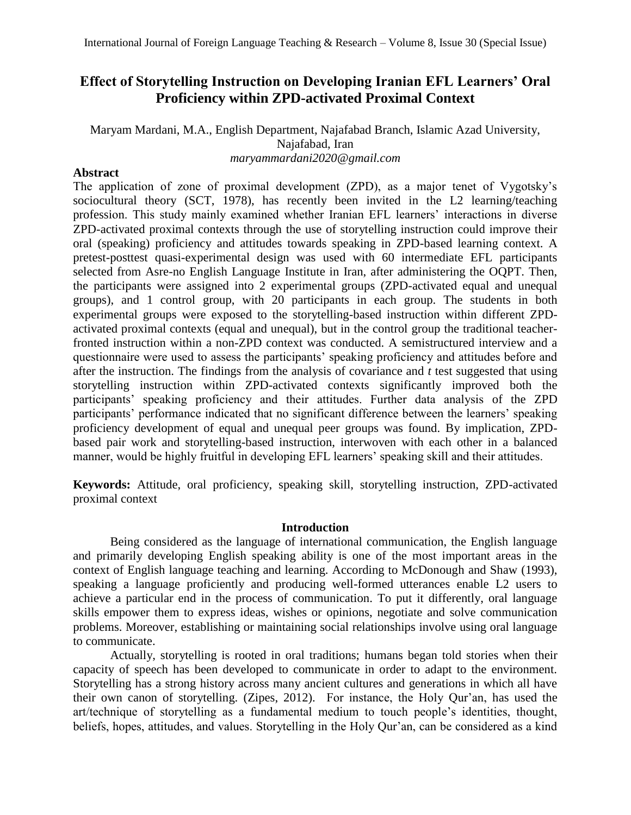# **Effect of Storytelling Instruction on Developing Iranian EFL Learners' Oral Proficiency within ZPD-activated Proximal Context**

### Maryam Mardani, M.A., English Department, Najafabad Branch, Islamic Azad University, Najafabad, Iran *[maryammardani2020@gmail.com](../AppData/Local/Temp/maryammardani2020@gmail.com)*

### **Abstract**

The application of zone of proximal development (ZPD), as a major tenet of Vygotsky's sociocultural theory (SCT, 1978), has recently been invited in the L2 learning/teaching profession. This study mainly examined whether Iranian EFL learners' interactions in diverse ZPD-activated proximal contexts through the use of storytelling instruction could improve their oral (speaking) proficiency and attitudes towards speaking in ZPD-based learning context. A pretest-posttest quasi-experimental design was used with 60 intermediate EFL participants selected from Asre-no English Language Institute in Iran, after administering the OQPT. Then, the participants were assigned into 2 experimental groups (ZPD-activated equal and unequal groups), and 1 control group, with 20 participants in each group. The students in both experimental groups were exposed to the storytelling-based instruction within different ZPDactivated proximal contexts (equal and unequal), but in the control group the traditional teacherfronted instruction within a non-ZPD context was conducted. A semistructured interview and a questionnaire were used to assess the participants' speaking proficiency and attitudes before and after the instruction. The findings from the analysis of covariance and *t* test suggested that using storytelling instruction within ZPD-activated contexts significantly improved both the participants' speaking proficiency and their attitudes. Further data analysis of the ZPD participants' performance indicated that no significant difference between the learners' speaking proficiency development of equal and unequal peer groups was found. By implication, ZPDbased pair work and storytelling-based instruction, interwoven with each other in a balanced manner, would be highly fruitful in developing EFL learners' speaking skill and their attitudes.

**Keywords:** Attitude, oral proficiency, speaking skill, storytelling instruction, ZPD-activated proximal context

### **Introduction**

Being considered as the language of international communication, the English language and primarily developing English speaking ability is one of the most important areas in the context of English language teaching and learning. According to McDonough and Shaw (1993), speaking a language proficiently and producing well-formed utterances enable L2 users to achieve a particular end in the process of communication. To put it differently, oral language skills empower them to express ideas, wishes or opinions, negotiate and solve communication problems. Moreover, establishing or maintaining social relationships involve using oral language to communicate.

Actually, storytelling is rooted in oral traditions; humans began told stories when their capacity of speech has been developed to communicate in order to adapt to the environment. Storytelling has a strong history across many ancient cultures and generations in which all have their own canon of storytelling. (Zipes, 2012). For instance, the Holy Qur'an, has used the art/technique of storytelling as a fundamental medium to touch people's identities, thought, beliefs, hopes, attitudes, and values. Storytelling in the Holy Qur'an, can be considered as a kind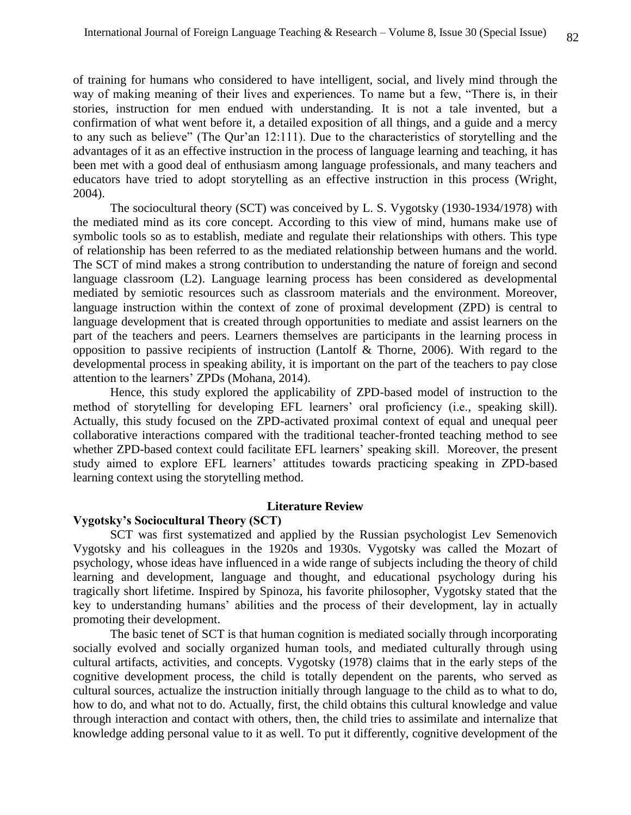of training for humans who considered to have intelligent, social, and lively mind through the way of making meaning of their lives and experiences. To name but a few, "There is, in their stories, instruction for men endued with understanding. It is not a tale invented, but a confirmation of what went before it, a detailed exposition of all things, and a guide and a mercy to any such as believe" (The Qur'an 12:111). Due to the characteristics of storytelling and the advantages of it as an effective instruction in the process of language learning and teaching, it has been met with a good deal of enthusiasm among language professionals, and many teachers and educators have tried to adopt storytelling as an effective instruction in this process (Wright, 2004).

The sociocultural theory (SCT) was conceived by L. S. Vygotsky (1930-1934/1978) with the mediated mind as its core concept. According to this view of mind, humans make use of symbolic tools so as to establish, mediate and regulate their relationships with others. This type of relationship has been referred to as the mediated relationship between humans and the world. The SCT of mind makes a strong contribution to understanding the nature of foreign and second language classroom (L2). Language learning process has been considered as developmental mediated by semiotic resources such as classroom materials and the environment. Moreover, language instruction within the context of zone of proximal development (ZPD) is central to language development that is created through opportunities to mediate and assist learners on the part of the teachers and peers. Learners themselves are participants in the learning process in opposition to passive recipients of instruction (Lantolf  $\&$  Thorne, 2006). With regard to the developmental process in speaking ability, it is important on the part of the teachers to pay close attention to the learners' ZPDs (Mohana, 2014).

Hence, this study explored the applicability of ZPD-based model of instruction to the method of storytelling for developing EFL learners' oral proficiency (i.e., speaking skill). Actually, this study focused on the ZPD-activated proximal context of equal and unequal peer collaborative interactions compared with the traditional teacher-fronted teaching method to see whether ZPD-based context could facilitate EFL learners' speaking skill. Moreover, the present study aimed to explore EFL learners' attitudes towards practicing speaking in ZPD-based learning context using the storytelling method.

#### **Literature Review**

### **Vygotsky's Sociocultural Theory (SCT)**

SCT was first systematized and applied by the Russian psychologist Lev Semenovich Vygotsky and his colleagues in the 1920s and 1930s. Vygotsky was called the Mozart of psychology, whose ideas have influenced in a wide range of subjects including the theory of child learning and development, language and thought, and educational psychology during his tragically short lifetime. Inspired by Spinoza, his favorite philosopher, Vygotsky stated that the key to understanding humans' abilities and the process of their development, lay in actually promoting their development.

The basic tenet of SCT is that human cognition is mediated socially through incorporating socially evolved and socially organized human tools, and mediated culturally through using cultural artifacts, activities, and concepts. Vygotsky (1978) claims that in the early steps of the cognitive development process, the child is totally dependent on the parents, who served as cultural sources, actualize the instruction initially through language to the child as to what to do, how to do, and what not to do. Actually, first, the child obtains this cultural knowledge and value through interaction and contact with others, then, the child tries to assimilate and internalize that knowledge adding personal value to it as well. To put it differently, cognitive development of the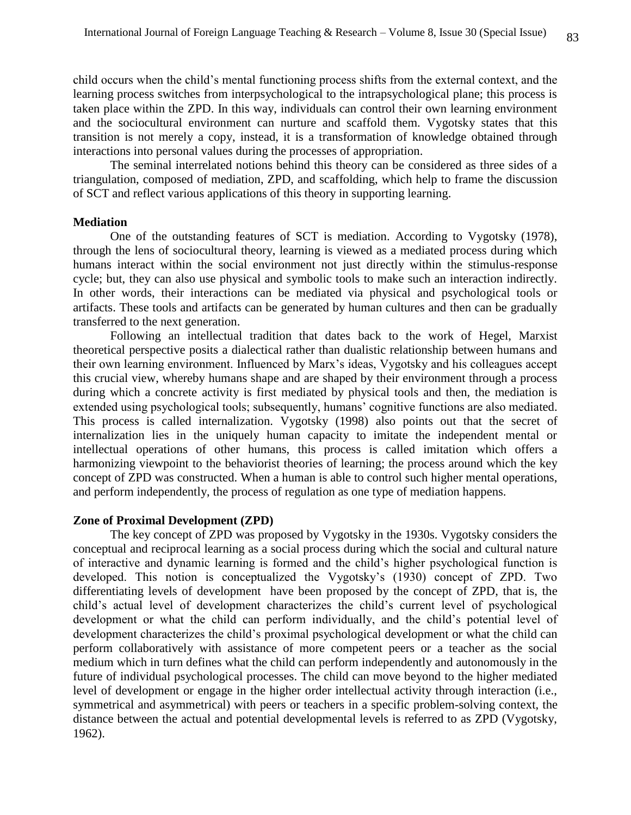child occurs when the child's mental functioning process shifts from the external context, and the learning process switches from interpsychological to the intrapsychological plane; this process is taken place within the ZPD. In this way, individuals can control their own learning environment and the sociocultural environment can nurture and scaffold them. Vygotsky states that this transition is not merely a copy, instead, it is a transformation of knowledge obtained through interactions into personal values during the processes of appropriation.

The seminal interrelated notions behind this theory can be considered as three sides of a triangulation, composed of mediation, ZPD, and scaffolding, which help to frame the discussion of SCT and reflect various applications of this theory in supporting learning.

### **Mediation**

One of the outstanding features of SCT is mediation. According to Vygotsky (1978), through the lens of sociocultural theory, learning is viewed as a mediated process during which humans interact within the social environment not just directly within the stimulus-response cycle; but, they can also use physical and symbolic tools to make such an interaction indirectly. In other words, their interactions can be mediated via physical and psychological tools or artifacts. These tools and artifacts can be generated by human cultures and then can be gradually transferred to the next generation.

Following an intellectual tradition that dates back to the work of Hegel, Marxist theoretical perspective posits a dialectical rather than dualistic relationship between humans and their own learning environment. Influenced by Marx's ideas, Vygotsky and his colleagues accept this crucial view, whereby humans shape and are shaped by their environment through a process during which a concrete activity is first mediated by physical tools and then, the mediation is extended using psychological tools; subsequently, humans' cognitive functions are also mediated. This process is called internalization. Vygotsky (1998) also points out that the secret of internalization lies in the uniquely human capacity to imitate the independent mental or intellectual operations of other humans, this process is called imitation which offers a harmonizing viewpoint to the behaviorist theories of learning; the process around which the key concept of ZPD was constructed. When a human is able to control such higher mental operations, and perform independently, the process of regulation as one type of mediation happens.

### **Zone of Proximal Development (ZPD)**

The key concept of ZPD was proposed by Vygotsky in the 1930s. Vygotsky considers the conceptual and reciprocal learning as a social process during which the social and cultural nature of interactive and dynamic learning is formed and the child's higher psychological function is developed. This notion is conceptualized the Vygotsky's (1930) concept of ZPD. Two differentiating levels of development have been proposed by the concept of ZPD, that is, the child's actual level of development characterizes the child's current level of psychological development or what the child can perform individually, and the child's potential level of development characterizes the child's proximal psychological development or what the child can perform collaboratively with assistance of more competent peers or a teacher as the social medium which in turn defines what the child can perform independently and autonomously in the future of individual psychological processes. The child can move beyond to the higher mediated level of development or engage in the higher order intellectual activity through interaction (i.e., symmetrical and asymmetrical) with peers or teachers in a specific problem-solving context, the distance between the actual and potential developmental levels is referred to as ZPD (Vygotsky, 1962).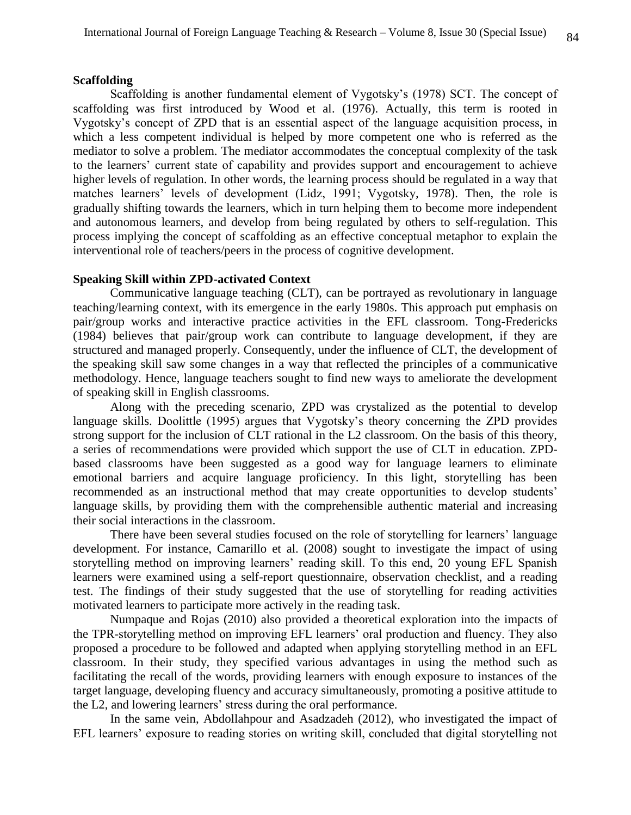### **Scaffolding**

Scaffolding is another fundamental element of Vygotsky's (1978) SCT. The concept of scaffolding was first introduced by Wood et al. (1976). Actually, this term is rooted in Vygotsky's concept of ZPD that is an essential aspect of the language acquisition process, in which a less competent individual is helped by more competent one who is referred as the mediator to solve a problem. The mediator accommodates the conceptual complexity of the task to the learners' current state of capability and provides support and encouragement to achieve higher levels of regulation. In other words, the learning process should be regulated in a way that matches learners' levels of development (Lidz, 1991; Vygotsky*,* 1978). Then, the role is gradually shifting towards the learners, which in turn helping them to become more independent and autonomous learners, and develop from being regulated by others to self-regulation. This process implying the concept of scaffolding as an effective conceptual metaphor to explain the interventional role of teachers/peers in the process of cognitive development.

### **Speaking Skill within ZPD-activated Context**

Communicative language teaching (CLT), can be portrayed as revolutionary in language teaching/learning context, with its emergence in the early 1980s. This approach put emphasis on pair/group works and interactive practice activities in the EFL classroom. Tong-Fredericks (1984) believes that pair/group work can contribute to language development, if they are structured and managed properly. Consequently, under the influence of CLT, the development of the speaking skill saw some changes in a way that reflected the principles of a communicative methodology. Hence, language teachers sought to find new ways to ameliorate the development of speaking skill in English classrooms.

Along with the preceding scenario, ZPD was crystalized as the potential to develop language skills. Doolittle (1995) argues that Vygotsky's theory concerning the ZPD provides strong support for the inclusion of CLT rational in the L2 classroom. On the basis of this theory, a series of recommendations were provided which support the use of CLT in education. ZPDbased classrooms have been suggested as a good way for language learners to eliminate emotional barriers and acquire language proficiency. In this light, storytelling has been recommended as an instructional method that may create opportunities to develop students' language skills, by providing them with the comprehensible authentic material and increasing their social interactions in the classroom.

There have been several studies focused on the role of storytelling for learners' language development. For instance, Camarillo et al. (2008) sought to investigate the impact of using storytelling method on improving learners' reading skill. To this end, 20 young EFL Spanish learners were examined using a self-report questionnaire, observation checklist, and a reading test. The findings of their study suggested that the use of storytelling for reading activities motivated learners to participate more actively in the reading task.

Numpaque and Rojas (2010) also provided a theoretical exploration into the impacts of the TPR-storytelling method on improving EFL learners' oral production and fluency. They also proposed a procedure to be followed and adapted when applying storytelling method in an EFL classroom. In their study, they specified various advantages in using the method such as facilitating the recall of the words, providing learners with enough exposure to instances of the target language, developing fluency and accuracy simultaneously, promoting a positive attitude to the L2, and lowering learners' stress during the oral performance.

In the same vein, Abdollahpour and Asadzadeh (2012), who investigated the impact of EFL learners' exposure to reading stories on writing skill, concluded that digital storytelling not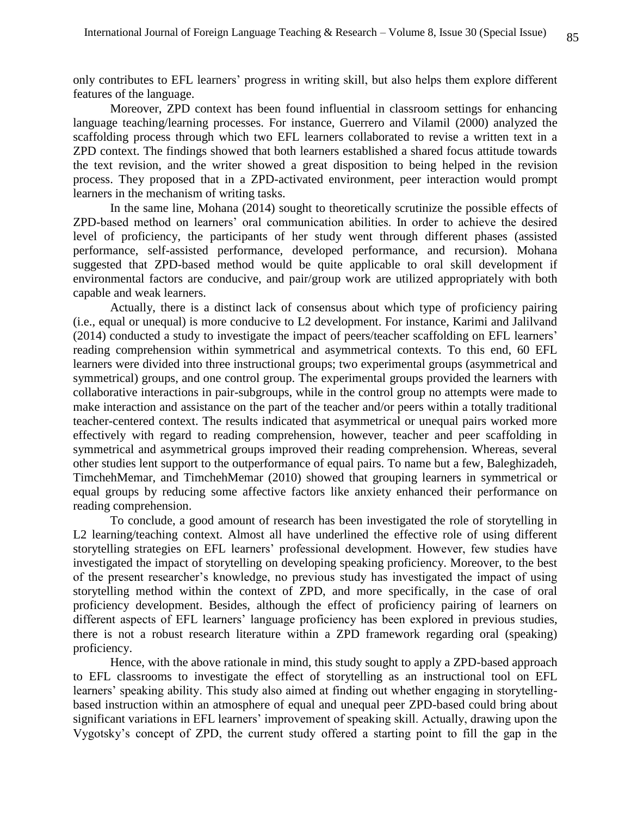only contributes to EFL learners' progress in writing skill, but also helps them explore different features of the language.

Moreover, ZPD context has been found influential in classroom settings for enhancing language teaching/learning processes. For instance, Guerrero and Vilamil (2000) analyzed the scaffolding process through which two EFL learners collaborated to revise a written text in a ZPD context. The findings showed that both learners established a shared focus attitude towards the text revision, and the writer showed a great disposition to being helped in the revision process. They proposed that in a ZPD-activated environment, peer interaction would prompt learners in the mechanism of writing tasks.

In the same line, Mohana (2014) sought to theoretically scrutinize the possible effects of ZPD-based method on learners' oral communication abilities. In order to achieve the desired level of proficiency, the participants of her study went through different phases (assisted performance, self-assisted performance, developed performance, and recursion). Mohana suggested that ZPD-based method would be quite applicable to oral skill development if environmental factors are conducive, and pair/group work are utilized appropriately with both capable and weak learners.

Actually, there is a distinct lack of consensus about which type of proficiency pairing (i.e., equal or unequal) is more conducive to L2 development. For instance, Karimi and Jalilvand (2014) conducted a study to investigate the impact of peers/teacher scaffolding on EFL learners' reading comprehension within symmetrical and asymmetrical contexts. To this end, 60 EFL learners were divided into three instructional groups; two experimental groups (asymmetrical and symmetrical) groups, and one control group. The experimental groups provided the learners with collaborative interactions in pair-subgroups, while in the control group no attempts were made to make interaction and assistance on the part of the teacher and/or peers within a totally traditional teacher-centered context. The results indicated that asymmetrical or unequal pairs worked more effectively with regard to reading comprehension, however, teacher and peer scaffolding in symmetrical and asymmetrical groups improved their reading comprehension. Whereas, several other studies lent support to the outperformance of equal pairs. To name but a few, Baleghizadeh, TimchehMemar, and TimchehMemar (2010) showed that grouping learners in symmetrical or equal groups by reducing some affective factors like anxiety enhanced their performance on reading comprehension.

To conclude, a good amount of research has been investigated the role of storytelling in L2 learning/teaching context. Almost all have underlined the effective role of using different storytelling strategies on EFL learners' professional development. However, few studies have investigated the impact of storytelling on developing speaking proficiency. Moreover, to the best of the present researcher's knowledge, no previous study has investigated the impact of using storytelling method within the context of ZPD, and more specifically, in the case of oral proficiency development. Besides, although the effect of proficiency pairing of learners on different aspects of EFL learners' language proficiency has been explored in previous studies, there is not a robust research literature within a ZPD framework regarding oral (speaking) proficiency.

Hence, with the above rationale in mind, this study sought to apply a ZPD-based approach to EFL classrooms to investigate the effect of storytelling as an instructional tool on EFL learners' speaking ability. This study also aimed at finding out whether engaging in storytellingbased instruction within an atmosphere of equal and unequal peer ZPD-based could bring about significant variations in EFL learners' improvement of speaking skill. Actually, drawing upon the Vygotsky's concept of ZPD, the current study offered a starting point to fill the gap in the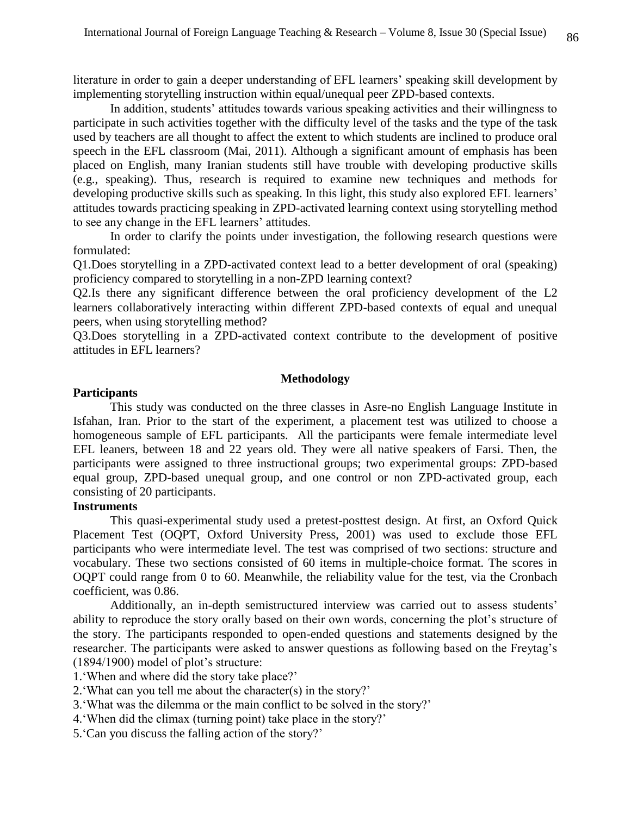literature in order to gain a deeper understanding of EFL learners' speaking skill development by implementing storytelling instruction within equal/unequal peer ZPD-based contexts.

In addition, students' attitudes towards various speaking activities and their willingness to participate in such activities together with the difficulty level of the tasks and the type of the task used by teachers are all thought to affect the extent to which students are inclined to produce oral speech in the EFL classroom (Mai, 2011). Although a significant amount of emphasis has been placed on English, many Iranian students still have trouble with developing productive skills (e.g., speaking). Thus, research is required to examine new techniques and methods for developing productive skills such as speaking. In this light, this study also explored EFL learners' attitudes towards practicing speaking in ZPD-activated learning context using storytelling method to see any change in the EFL learners' attitudes.

In order to clarify the points under investigation, the following research questions were formulated:

Q1.Does storytelling in a ZPD-activated context lead to a better development of oral (speaking) proficiency compared to storytelling in a non-ZPD learning context?

Q2.Is there any significant difference between the oral proficiency development of the L2 learners collaboratively interacting within different ZPD-based contexts of equal and unequal peers, when using storytelling method?

Q3.Does storytelling in a ZPD-activated context contribute to the development of positive attitudes in EFL learners?

### **Methodology**

### **Participants**

This study was conducted on the three classes in Asre-no English Language Institute in Isfahan, Iran. Prior to the start of the experiment, a placement test was utilized to choose a homogeneous sample of EFL participants. All the participants were female intermediate level EFL leaners, between 18 and 22 years old. They were all native speakers of Farsi. Then, the participants were assigned to three instructional groups; two experimental groups: ZPD-based equal group, ZPD-based unequal group, and one control or non ZPD-activated group, each consisting of 20 participants.

### **Instruments**

This quasi-experimental study used a pretest-posttest design. At first, an Oxford Quick Placement Test (OQPT, Oxford University Press, 2001) was used to exclude those EFL participants who were intermediate level. The test was comprised of two sections: structure and vocabulary. These two sections consisted of 60 items in multiple-choice format. The scores in OQPT could range from 0 to 60. Meanwhile, the reliability value for the test, via the Cronbach coefficient, was 0.86.

Additionally, an in-depth semistructured interview was carried out to assess students' ability to reproduce the story orally based on their own words, concerning the plot's structure of the story. The participants responded to open-ended questions and statements designed by the researcher. The participants were asked to answer questions as following based on the Freytag's (1894/1900) model of plot's structure:

1.'When and where did the story take place?'

- 2.'What can you tell me about the character(s) in the story?'
- 3.'What was the dilemma or the main conflict to be solved in the story?'
- 4.'When did the climax (turning point) take place in the story?'
- 5.'Can you discuss the falling action of the story?'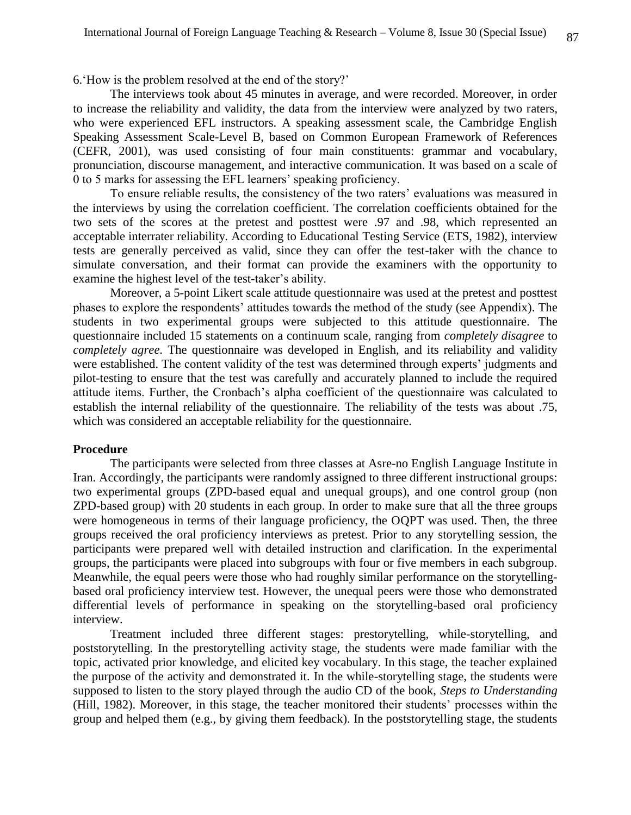6.'How is the problem resolved at the end of the story?'

The interviews took about 45 minutes in average, and were recorded. Moreover, in order to increase the reliability and validity, the data from the interview were analyzed by two raters, who were experienced EFL instructors. A speaking assessment scale, the Cambridge English Speaking Assessment Scale-Level B, based on Common European Framework of References (CEFR, 2001), was used consisting of four main constituents: grammar and vocabulary, pronunciation, discourse management, and interactive communication. It was based on a scale of 0 to 5 marks for assessing the EFL learners' speaking proficiency.

To ensure reliable results, the consistency of the two raters' evaluations was measured in the interviews by using the correlation coefficient. The correlation coefficients obtained for the two sets of the scores at the pretest and posttest were .97 and .98, which represented an acceptable interrater reliability. According to Educational Testing Service (ETS, 1982), interview tests are generally perceived as valid, since they can offer the test-taker with the chance to simulate conversation, and their format can provide the examiners with the opportunity to examine the highest level of the test-taker's ability.

Moreover, a 5-point Likert scale attitude questionnaire was used at the pretest and posttest phases to explore the respondents' attitudes towards the method of the study (see Appendix). The students in two experimental groups were subjected to this attitude questionnaire. The questionnaire included 15 statements on a continuum scale, ranging from *completely disagree* to *completely agree*. The questionnaire was developed in English, and its reliability and validity were established. The content validity of the test was determined through experts' judgments and pilot-testing to ensure that the test was carefully and accurately planned to include the required attitude items. Further, the Cronbach's alpha coefficient of the questionnaire was calculated to establish the internal reliability of the questionnaire. The reliability of the tests was about .75, which was considered an acceptable reliability for the questionnaire.

#### **Procedure**

The participants were selected from three classes at Asre-no English Language Institute in Iran. Accordingly, the participants were randomly assigned to three different instructional groups: two experimental groups (ZPD-based equal and unequal groups), and one control group (non ZPD-based group) with 20 students in each group. In order to make sure that all the three groups were homogeneous in terms of their language proficiency, the OQPT was used. Then, the three groups received the oral proficiency interviews as pretest. Prior to any storytelling session, the participants were prepared well with detailed instruction and clarification. In the experimental groups, the participants were placed into subgroups with four or five members in each subgroup. Meanwhile, the equal peers were those who had roughly similar performance on the storytellingbased oral proficiency interview test. However, the unequal peers were those who demonstrated differential levels of performance in speaking on the storytelling-based oral proficiency interview.

Treatment included three different stages: prestorytelling, while-storytelling, and poststorytelling. In the prestorytelling activity stage, the students were made familiar with the topic, activated prior knowledge, and elicited key vocabulary. In this stage, the teacher explained the purpose of the activity and demonstrated it. In the while-storytelling stage, the students were supposed to listen to the story played through the audio CD of the book, *Steps to Understanding* (Hill, 1982). Moreover, in this stage, the teacher monitored their students' processes within the group and helped them (e.g., by giving them feedback). In the poststorytelling stage, the students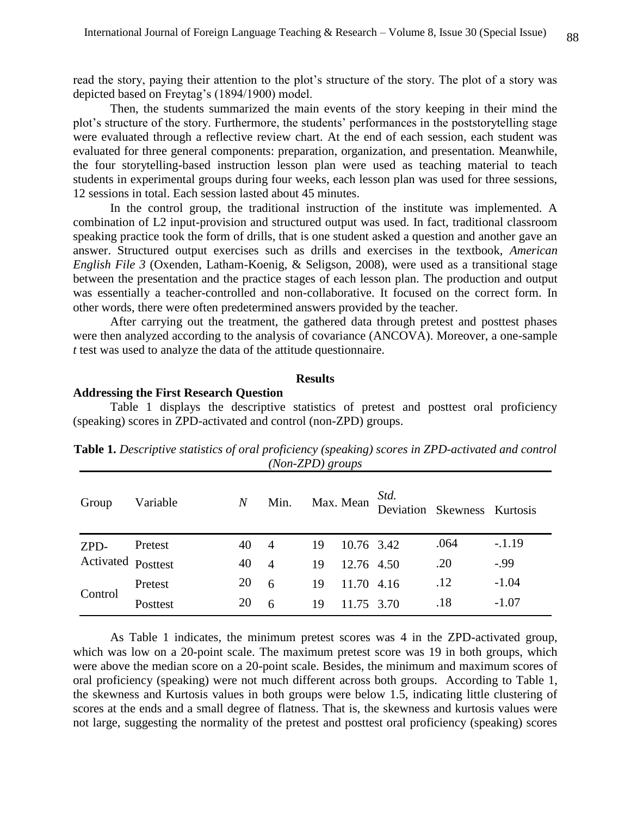read the story, paying their attention to the plot's structure of the story. The plot of a story was depicted based on Freytag's (1894/1900) model.

Then, the students summarized the main events of the story keeping in their mind the plot's structure of the story. Furthermore, the students' performances in the poststorytelling stage were evaluated through a reflective review chart. At the end of each session, each student was evaluated for three general components: preparation, organization, and presentation. Meanwhile, the four storytelling-based instruction lesson plan were used as teaching material to teach students in experimental groups during four weeks, each lesson plan was used for three sessions, 12 sessions in total. Each session lasted about 45 minutes.

In the control group, the traditional instruction of the institute was implemented. A combination of L2 input-provision and structured output was used. In fact, traditional classroom speaking practice took the form of drills, that is one student asked a question and another gave an answer. Structured output exercises such as drills and exercises in the textbook, *American English File 3* (Oxenden, Latham-Koenig, & Seligson, 2008), were used as a transitional stage between the presentation and the practice stages of each lesson plan. The production and output was essentially a teacher-controlled and non-collaborative. It focused on the correct form. In other words, there were often predetermined answers provided by the teacher.

After carrying out the treatment, the gathered data through pretest and posttest phases were then analyzed according to the analysis of covariance (ANCOVA). Moreover, a one-sample *t* test was used to analyze the data of the attitude questionnaire.

### **Results**

#### **Addressing the First Research Question**

Table 1 displays the descriptive statistics of pretest and posttest oral proficiency (speaking) scores in ZPD-activated and control (non-ZPD) groups.

| Group              | Variable | $\boldsymbol{N}$ | Min.           |    |            | Max. Mean Std.<br>Deviation Skewness Kurtosis |      |          |
|--------------------|----------|------------------|----------------|----|------------|-----------------------------------------------|------|----------|
| ZPD-               | Pretest  | 40               | $\overline{4}$ | 19 | 10.76 3.42 |                                               | .064 | $-.1.19$ |
| Activated Posttest |          | 40               | $\overline{4}$ | 19 | 12.76 4.50 |                                               | .20  | $-.99$   |
|                    | Pretest  | 20               | 6              | 19 | 11.70 4.16 |                                               | .12  | $-1.04$  |
| Control            | Posttest | 20               | 6              | 19 | 11.75 3.70 |                                               | .18  | $-1.07$  |

**Table 1.** *Descriptive statistics of oral proficiency (speaking) scores in ZPD-activated and control (Non-ZPD) groups*

As Table 1 indicates, the minimum pretest scores was 4 in the ZPD-activated group, which was low on a 20-point scale. The maximum pretest score was 19 in both groups, which were above the median score on a 20-point scale. Besides, the minimum and maximum scores of oral proficiency (speaking) were not much different across both groups. According to Table 1, the skewness and Kurtosis values in both groups were below 1.5, indicating little clustering of scores at the ends and a small degree of flatness. That is, the skewness and kurtosis values were not large, suggesting the normality of the pretest and posttest oral proficiency (speaking) scores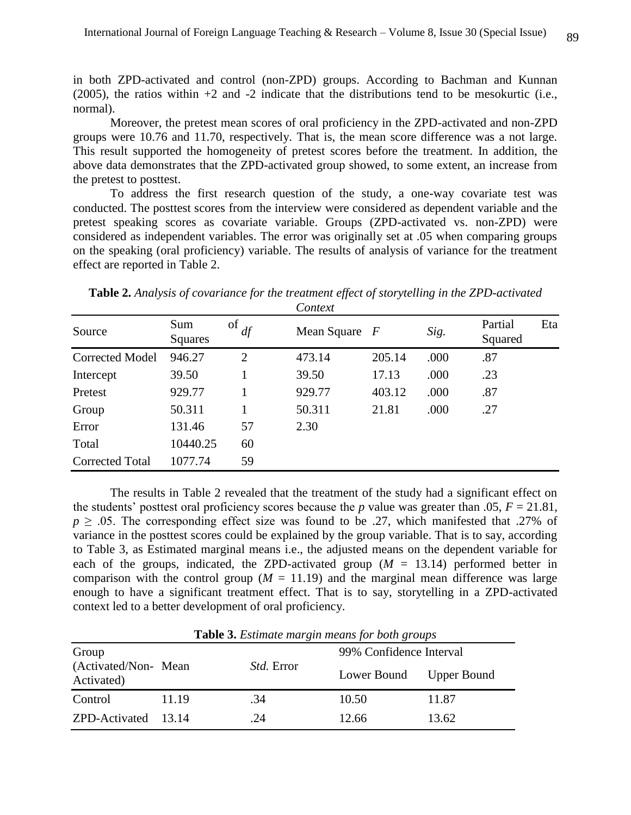in both ZPD-activated and control (non-ZPD) groups. According to Bachman and Kunnan (2005), the ratios within  $+2$  and  $-2$  indicate that the distributions tend to be mesokurtic (i.e., normal).

Moreover, the pretest mean scores of oral proficiency in the ZPD-activated and non-ZPD groups were 10.76 and 11.70, respectively. That is, the mean score difference was a not large. This result supported the homogeneity of pretest scores before the treatment. In addition, the above data demonstrates that the ZPD-activated group showed, to some extent, an increase from the pretest to posttest.

To address the first research question of the study, a one-way covariate test was conducted. The posttest scores from the interview were considered as dependent variable and the pretest speaking scores as covariate variable. Groups (ZPD-activated vs. non-ZPD) were considered as independent variables. The error was originally set at .05 when comparing groups on the speaking (oral proficiency) variable. The results of analysis of variance for the treatment effect are reported in Table 2.

| Source                 | Sum<br>Squares | οf<br>df       | Mean Square $F$ |        | Sig. | Partial<br>Squared | Eta |
|------------------------|----------------|----------------|-----------------|--------|------|--------------------|-----|
| Corrected Model        | 946.27         | $\overline{2}$ | 473.14          | 205.14 | .000 | .87                |     |
| Intercept              | 39.50          |                | 39.50           | 17.13  | .000 | .23                |     |
| Pretest                | 929.77         |                | 929.77          | 403.12 | .000 | .87                |     |
| Group                  | 50.311         |                | 50.311          | 21.81  | .000 | .27                |     |
| Error                  | 131.46         | 57             | 2.30            |        |      |                    |     |
| Total                  | 10440.25       | 60             |                 |        |      |                    |     |
| <b>Corrected Total</b> | 1077.74        | 59             |                 |        |      |                    |     |

**Table 2.** *Analysis of covariance for the treatment effect of storytelling in the ZPD-activated Context*

The results in Table 2 revealed that the treatment of the study had a significant effect on the students' posttest oral proficiency scores because the *p* value was greater than .05,  $F = 21.81$ ,  $p \geq 0.05$ . The corresponding effect size was found to be .27, which manifested that .27% of variance in the posttest scores could be explained by the group variable. That is to say, according to Table 3, as Estimated marginal means i.e., the adjusted means on the dependent variable for each of the groups, indicated, the ZPD-activated group  $(M = 13.14)$  performed better in comparison with the control group ( $M = 11.19$ ) and the marginal mean difference was large enough to have a significant treatment effect. That is to say, storytelling in a ZPD-activated context led to a better development of oral proficiency.

|                                    |       | <b>Lable 5.</b> Estimate margin means for both groups |                         |             |
|------------------------------------|-------|-------------------------------------------------------|-------------------------|-------------|
| Group                              |       |                                                       | 99% Confidence Interval |             |
| (Activated/Non- Mean<br>Activated) |       | <i>Std.</i> Error                                     | Lower Bound             | Upper Bound |
| Control                            | 11.19 | .34                                                   | 10.50                   | 11.87       |
| ZPD-Activated 13.14                |       | .24                                                   | 12.66                   | 13.62       |

**Table 3.** *Estimate margin means for both groups*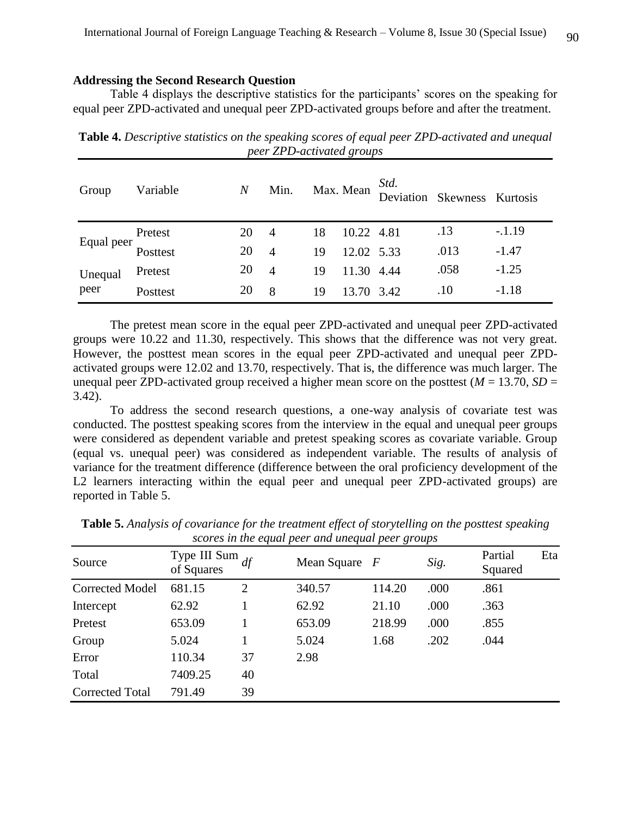#### **Addressing the Second Research Question**

Table 4 displays the descriptive statistics for the participants' scores on the speaking for equal peer ZPD-activated and unequal peer ZPD-activated groups before and after the treatment.

| Group                  | Variable | $\boldsymbol{N}$ | Min.           |    | Max. Mean  | <i>Std.</i><br>Deviation | Skewness Kurtosis |          |
|------------------------|----------|------------------|----------------|----|------------|--------------------------|-------------------|----------|
|                        | Pretest  | 20               | $\overline{4}$ | 18 | 10.22 4.81 |                          | .13               | $-.1.19$ |
| Equal peer<br>Posttest |          | 20               | $\overline{A}$ | 19 | 12.02 5.33 |                          | .013              | $-1.47$  |
| Unequal                | Pretest  | 20               | $\overline{4}$ | 19 | 11.30 4.44 |                          | .058              | $-1.25$  |
| peer                   | Posttest | 20               | 8              | 19 | 13.70      | 3.42                     | .10               | $-1.18$  |

**Table 4.** *Descriptive statistics on the speaking scores of equal peer ZPD-activated and unequal peer ZPD-activated groups*

The pretest mean score in the equal peer ZPD-activated and unequal peer ZPD-activated groups were 10.22 and 11.30, respectively. This shows that the difference was not very great. However, the posttest mean scores in the equal peer ZPD-activated and unequal peer ZPDactivated groups were 12.02 and 13.70, respectively. That is, the difference was much larger. The unequal peer ZPD-activated group received a higher mean score on the posttest ( $M = 13.70$ ,  $SD =$ 3.42).

To address the second research questions, a one-way analysis of covariate test was conducted. The posttest speaking scores from the interview in the equal and unequal peer groups were considered as dependent variable and pretest speaking scores as covariate variable. Group (equal vs. unequal peer) was considered as independent variable. The results of analysis of variance for the treatment difference (difference between the oral proficiency development of the L2 learners interacting within the equal peer and unequal peer ZPD-activated groups) are reported in Table 5.

| Source                 | Type III Sum $_{df}$<br>of Squares |                | Mean Square $F$ | $\overline{\phantom{0}}$ | Sig. | Partial<br>Squared | Eta |
|------------------------|------------------------------------|----------------|-----------------|--------------------------|------|--------------------|-----|
| <b>Corrected Model</b> | 681.15                             | $\overline{2}$ | 340.57          | 114.20                   | .000 | .861               |     |
| Intercept              | 62.92                              |                | 62.92           | 21.10                    | .000 | .363               |     |
| Pretest                | 653.09                             |                | 653.09          | 218.99                   | .000 | .855               |     |
| Group                  | 5.024                              |                | 5.024           | 1.68                     | .202 | .044               |     |
| Error                  | 110.34                             | 37             | 2.98            |                          |      |                    |     |
| Total                  | 7409.25                            | 40             |                 |                          |      |                    |     |
| <b>Corrected Total</b> | 791.49                             | 39             |                 |                          |      |                    |     |

**Table 5.** *Analysis of covariance for the treatment effect of storytelling on the posttest speaking scores in the equal peer and unequal peer groups*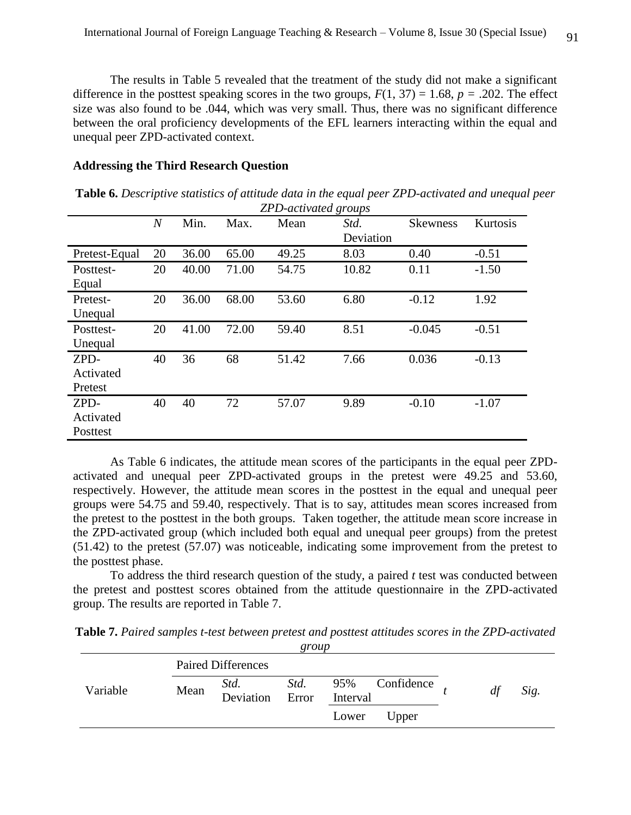The results in Table 5 revealed that the treatment of the study did not make a significant difference in the posttest speaking scores in the two groups,  $F(1, 37) = 1.68$ ,  $p = .202$ . The effect size was also found to be .044, which was very small. Thus, there was no significant difference between the oral proficiency developments of the EFL learners interacting within the equal and unequal peer ZPD-activated context.

### **Addressing the Third Research Question**

|               |       |       |       | <i>LPD-activated groups</i> |           |                 |          |
|---------------|-------|-------|-------|-----------------------------|-----------|-----------------|----------|
|               | $\,N$ | Min.  | Max.  | Mean                        | Std.      | <b>Skewness</b> | Kurtosis |
|               |       |       |       |                             | Deviation |                 |          |
| Pretest-Equal | 20    | 36.00 | 65.00 | 49.25                       | 8.03      | 0.40            | $-0.51$  |
| Posttest-     | 20    | 40.00 | 71.00 | 54.75                       | 10.82     | 0.11            | $-1.50$  |
| Equal         |       |       |       |                             |           |                 |          |
| Pretest-      | 20    | 36.00 | 68.00 | 53.60                       | 6.80      | $-0.12$         | 1.92     |
| Unequal       |       |       |       |                             |           |                 |          |
| Posttest-     | 20    | 41.00 | 72.00 | 59.40                       | 8.51      | $-0.045$        | $-0.51$  |
| Unequal       |       |       |       |                             |           |                 |          |
| ZPD-          | 40    | 36    | 68    | 51.42                       | 7.66      | 0.036           | $-0.13$  |
| Activated     |       |       |       |                             |           |                 |          |
| Pretest       |       |       |       |                             |           |                 |          |
| ZPD-          | 40    | 40    | 72    | 57.07                       | 9.89      | $-0.10$         | $-1.07$  |
| Activated     |       |       |       |                             |           |                 |          |
| Posttest      |       |       |       |                             |           |                 |          |

**Table 6.** *Descriptive statistics of attitude data in the equal peer ZPD-activated and unequal peer ZPD-activated groups*

As Table 6 indicates, the attitude mean scores of the participants in the equal peer ZPDactivated and unequal peer ZPD-activated groups in the pretest were 49.25 and 53.60, respectively. However, the attitude mean scores in the posttest in the equal and unequal peer groups were 54.75 and 59.40, respectively. That is to say, attitudes mean scores increased from the pretest to the posttest in the both groups. Taken together, the attitude mean score increase in the ZPD-activated group (which included both equal and unequal peer groups) from the pretest (51.42) to the pretest (57.07) was noticeable, indicating some improvement from the pretest to the posttest phase.

To address the third research question of the study, a paired *t* test was conducted between the pretest and posttest scores obtained from the attitude questionnaire in the ZPD-activated group. The results are reported in Table 7.

**Table 7.** *Paired samples t-test between pretest and posttest attitudes scores in the ZPD-activated group*

|          |      | <b>Paired Differences</b> |               |                 |            |    |      |
|----------|------|---------------------------|---------------|-----------------|------------|----|------|
| Variable | Mean | Std.<br>Deviation         | Std.<br>Error | 95%<br>Interval | Confidence | df | Sig. |
|          |      |                           |               | Lower           | Upper      |    |      |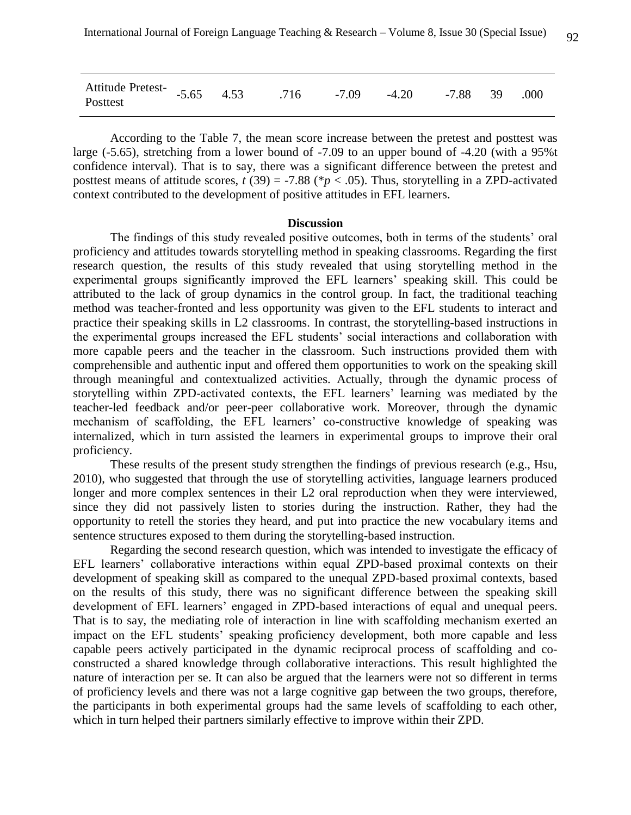| Attitude Pretest- -5.65 4.53 .716 -7.09 -4.20 -7.88 39 .000<br>Posttest |  |  |  |  |  |  |  |
|-------------------------------------------------------------------------|--|--|--|--|--|--|--|
|-------------------------------------------------------------------------|--|--|--|--|--|--|--|

According to the Table 7, the mean score increase between the pretest and posttest was large (-5.65), stretching from a lower bound of -7.09 to an upper bound of -4.20 (with a 95%t confidence interval). That is to say, there was a significant difference between the pretest and posttest means of attitude scores,  $t(39) = -7.88$  (\* $p < .05$ ). Thus, storytelling in a ZPD-activated context contributed to the development of positive attitudes in EFL learners.

#### **Discussion**

The findings of this study revealed positive outcomes, both in terms of the students' oral proficiency and attitudes towards storytelling method in speaking classrooms. Regarding the first research question, the results of this study revealed that using storytelling method in the experimental groups significantly improved the EFL learners' speaking skill. This could be attributed to the lack of group dynamics in the control group. In fact, the traditional teaching method was teacher-fronted and less opportunity was given to the EFL students to interact and practice their speaking skills in L2 classrooms. In contrast, the storytelling-based instructions in the experimental groups increased the EFL students' social interactions and collaboration with more capable peers and the teacher in the classroom. Such instructions provided them with comprehensible and authentic input and offered them opportunities to work on the speaking skill through meaningful and contextualized activities. Actually, through the dynamic process of storytelling within ZPD-activated contexts, the EFL learners' learning was mediated by the teacher-led feedback and/or peer-peer collaborative work. Moreover, through the dynamic mechanism of scaffolding, the EFL learners' co-constructive knowledge of speaking was internalized, which in turn assisted the learners in experimental groups to improve their oral proficiency.

These results of the present study strengthen the findings of previous research (e.g., Hsu, 2010), who suggested that through the use of storytelling activities, language learners produced longer and more complex sentences in their L2 oral reproduction when they were interviewed, since they did not passively listen to stories during the instruction. Rather, they had the opportunity to retell the stories they heard, and put into practice the new vocabulary items and sentence structures exposed to them during the storytelling-based instruction.

Regarding the second research question, which was intended to investigate the efficacy of EFL learners' collaborative interactions within equal ZPD-based proximal contexts on their development of speaking skill as compared to the unequal ZPD-based proximal contexts, based on the results of this study, there was no significant difference between the speaking skill development of EFL learners' engaged in ZPD-based interactions of equal and unequal peers. That is to say, the mediating role of interaction in line with scaffolding mechanism exerted an impact on the EFL students' speaking proficiency development, both more capable and less capable peers actively participated in the dynamic reciprocal process of scaffolding and coconstructed a shared knowledge through collaborative interactions. This result highlighted the nature of interaction per se. It can also be argued that the learners were not so different in terms of proficiency levels and there was not a large cognitive gap between the two groups, therefore, the participants in both experimental groups had the same levels of scaffolding to each other, which in turn helped their partners similarly effective to improve within their ZPD.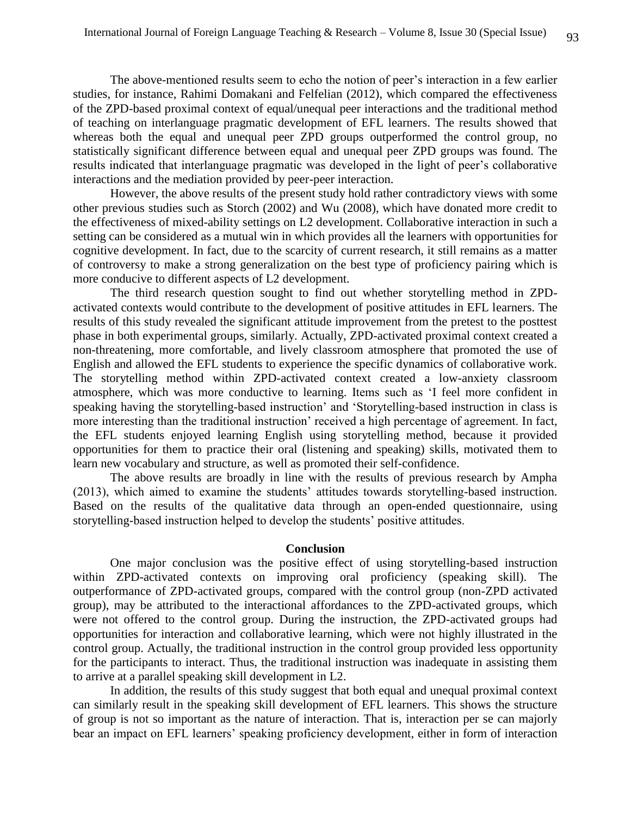The above-mentioned results seem to echo the notion of peer's interaction in a few earlier studies, for instance, Rahimi Domakani and Felfelian (2012), which compared the effectiveness of the ZPD-based proximal context of equal/unequal peer interactions and the traditional method of teaching on interlanguage pragmatic development of EFL learners. The results showed that whereas both the equal and unequal peer ZPD groups outperformed the control group, no statistically significant difference between equal and unequal peer ZPD groups was found. The results indicated that interlanguage pragmatic was developed in the light of peer's collaborative interactions and the mediation provided by peer-peer interaction.

However, the above results of the present study hold rather contradictory views with some other previous studies such as Storch (2002) and Wu (2008), which have donated more credit to the effectiveness of mixed-ability settings on L2 development. Collaborative interaction in such a setting can be considered as a mutual win in which provides all the learners with opportunities for cognitive development. In fact, due to the scarcity of current research, it still remains as a matter of controversy to make a strong generalization on the best type of proficiency pairing which is more conducive to different aspects of L2 development.

The third research question sought to find out whether storytelling method in ZPDactivated contexts would contribute to the development of positive attitudes in EFL learners. The results of this study revealed the significant attitude improvement from the pretest to the posttest phase in both experimental groups, similarly. Actually, ZPD-activated proximal context created a non-threatening, more comfortable, and lively classroom atmosphere that promoted the use of English and allowed the EFL students to experience the specific dynamics of collaborative work. The storytelling method within ZPD-activated context created a low-anxiety classroom atmosphere, which was more conductive to learning. Items such as 'I feel more confident in speaking having the storytelling-based instruction' and 'Storytelling-based instruction in class is more interesting than the traditional instruction' received a high percentage of agreement. In fact, the EFL students enjoyed learning English using storytelling method, because it provided opportunities for them to practice their oral (listening and speaking) skills, motivated them to learn new vocabulary and structure, as well as promoted their self-confidence.

The above results are broadly in line with the results of previous research by Ampha (2013), which aimed to examine the students' attitudes towards storytelling-based instruction. Based on the results of the qualitative data through an open-ended questionnaire, using storytelling-based instruction helped to develop the students' positive attitudes.

#### **Conclusion**

One major conclusion was the positive effect of using storytelling-based instruction within ZPD-activated contexts on improving oral proficiency (speaking skill). The outperformance of ZPD-activated groups, compared with the control group (non-ZPD activated group), may be attributed to the interactional affordances to the ZPD-activated groups, which were not offered to the control group. During the instruction, the ZPD-activated groups had opportunities for interaction and collaborative learning, which were not highly illustrated in the control group. Actually, the traditional instruction in the control group provided less opportunity for the participants to interact. Thus, the traditional instruction was inadequate in assisting them to arrive at a parallel speaking skill development in L2.

In addition, the results of this study suggest that both equal and unequal proximal context can similarly result in the speaking skill development of EFL learners. This shows the structure of group is not so important as the nature of interaction. That is, interaction per se can majorly bear an impact on EFL learners' speaking proficiency development, either in form of interaction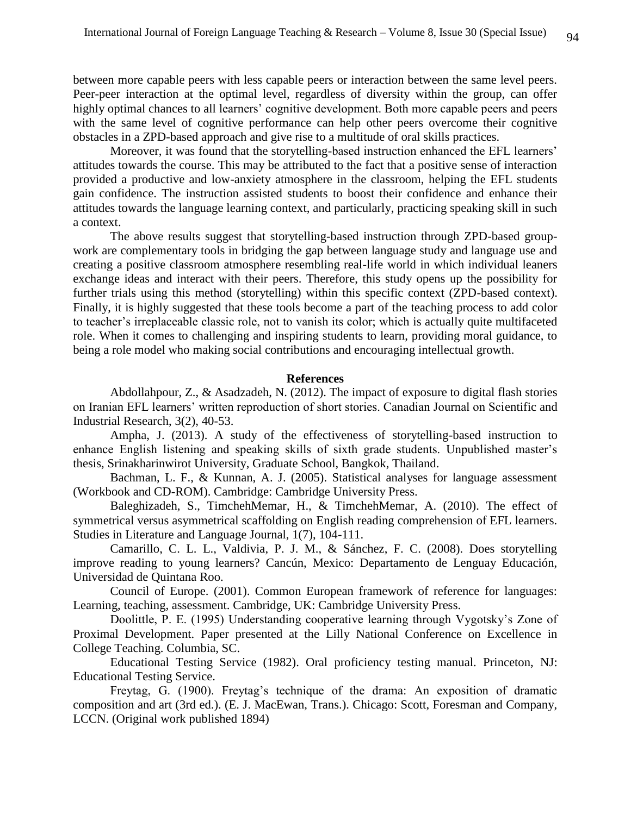between more capable peers with less capable peers or interaction between the same level peers. Peer-peer interaction at the optimal level, regardless of diversity within the group, can offer highly optimal chances to all learners' cognitive development. Both more capable peers and peers with the same level of cognitive performance can help other peers overcome their cognitive obstacles in a ZPD-based approach and give rise to a multitude of oral skills practices.

Moreover, it was found that the storytelling-based instruction enhanced the EFL learners' attitudes towards the course. This may be attributed to the fact that a positive sense of interaction provided a productive and low-anxiety atmosphere in the classroom, helping the EFL students gain confidence. The instruction assisted students to boost their confidence and enhance their attitudes towards the language learning context, and particularly, practicing speaking skill in such a context.

The above results suggest that storytelling-based instruction through ZPD-based groupwork are complementary tools in bridging the gap between language study and language use and creating a positive classroom atmosphere resembling real-life world in which individual leaners exchange ideas and interact with their peers. Therefore, this study opens up the possibility for further trials using this method (storytelling) within this specific context (ZPD-based context). Finally, it is highly suggested that these tools become a part of the teaching process to add color to teacher's irreplaceable classic role, not to vanish its color; which is actually quite multifaceted role. When it comes to challenging and inspiring students to learn, providing moral guidance, to being a role model who making social contributions and encouraging intellectual growth.

### **References**

Abdollahpour, Z., & Asadzadeh, N. (2012). The impact of exposure to digital flash stories on Iranian EFL learners' written reproduction of short stories. Canadian Journal on Scientific and Industrial Research, 3(2), 40-53.

Ampha, J. (2013). A study of the effectiveness of storytelling-based instruction to enhance English listening and speaking skills of sixth grade students. Unpublished master's thesis, Srinakharinwirot University, Graduate School, Bangkok, Thailand.

Bachman, L. F., & Kunnan, A. J. (2005). Statistical analyses for language assessment (Workbook and CD-ROM). Cambridge: Cambridge University Press.

Baleghizadeh, S., TimchehMemar, H., & TimchehMemar, A. (2010). The effect of symmetrical versus asymmetrical scaffolding on English reading comprehension of EFL learners. Studies in Literature and Language Journal, 1(7), 104-111.

Camarillo, C. L. L., Valdivia, P. J. M., & Sánchez, F. C. (2008). Does storytelling improve reading to young learners? Cancún, Mexico: Departamento de Lenguay Educación, Universidad de Quintana Roo.

Council of Europe. (2001). Common European framework of reference for languages: Learning, teaching, assessment. Cambridge, UK: Cambridge University Press.

Doolittle, P. E. (1995) Understanding cooperative learning through Vygotsky's Zone of Proximal Development. Paper presented at the Lilly National Conference on Excellence in College Teaching. Columbia, SC.

Educational Testing Service (1982). Oral proficiency testing manual. Princeton, NJ: Educational Testing Service.

Freytag, G. (1900). Freytag's technique of the drama: An exposition of dramatic composition and art (3rd ed.). (E. J. MacEwan, Trans.). Chicago: Scott, Foresman and Company, LCCN. (Original work published 1894)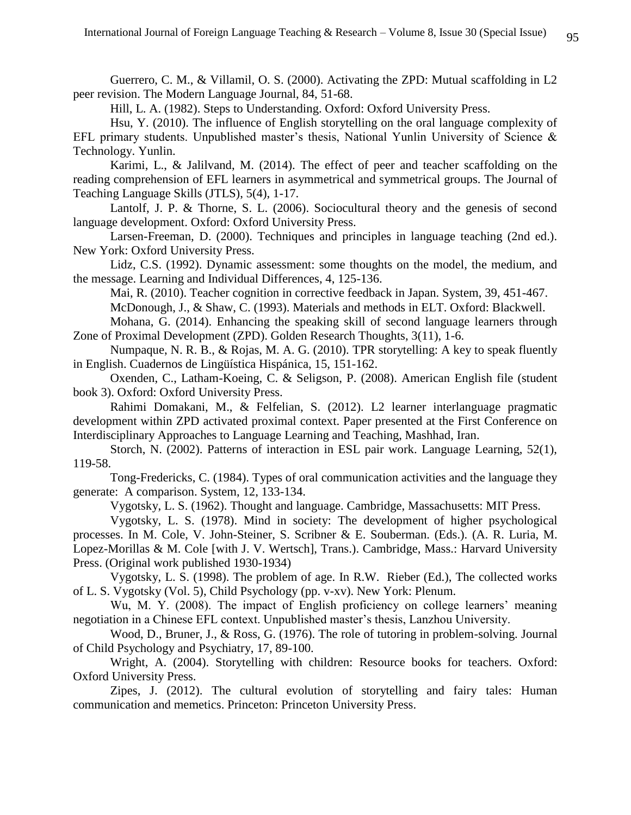Guerrero, C. M., & Villamil, O. S. (2000). Activating the ZPD: Mutual scaffolding in L2 peer revision. The Modern Language Journal, 84, 51-68.

Hill, L. A. (1982). Steps to Understanding. Oxford: Oxford University Press.

Hsu, Y. (2010). The influence of English storytelling on the oral language complexity of EFL primary students. Unpublished master's thesis, National Yunlin University of Science & Technology. Yunlin.

Karimi, L., & Jalilvand, M. (2014). The effect of peer and teacher scaffolding on the reading comprehension of EFL learners in asymmetrical and symmetrical groups. The Journal of Teaching Language Skills (JTLS), 5(4), 1-17.

Lantolf, J. P. & Thorne, S. L. (2006). Sociocultural theory and the genesis of second language development. Oxford: Oxford University Press.

Larsen-Freeman, D. (2000). Techniques and principles in language teaching (2nd ed.). New York: Oxford University Press.

Lidz, C.S. (1992). Dynamic assessment: some thoughts on the model, the medium, and the message. Learning and Individual Differences, 4, 125-136.

Mai, R. (2010). Teacher cognition in corrective feedback in Japan. System, 39, 451-467. McDonough, J., & Shaw, C. (1993). Materials and methods in ELT. Oxford: Blackwell.

Mohana, G. (2014). Enhancing the speaking skill of second language learners through Zone of Proximal Development (ZPD). Golden Research Thoughts, 3(11), 1-6.

Numpaque, N. R. B., & Rojas, M. A. G. (2010). TPR storytelling: A key to speak fluently in English. Cuadernos de Lingüística Hispánica, 15, 151-162.

Oxenden, C., Latham-Koeing, C. & Seligson, P. (2008). American English file (student book 3). Oxford: Oxford University Press.

Rahimi Domakani, M., & Felfelian, S. (2012). L2 learner interlanguage pragmatic development within ZPD activated proximal context. Paper presented at the First Conference on Interdisciplinary Approaches to Language Learning and Teaching, Mashhad, Iran.

Storch, N. (2002). Patterns of interaction in ESL pair work. Language Learning, 52(1), 119-58.

Tong-Fredericks, C. (1984). Types of oral communication activities and the language they generate: A comparison. System, 12, 133-134.

Vygotsky, L. S. (1962). Thought and language. Cambridge, Massachusetts: MIT Press.

Vygotsky, L. S. (1978). Mind in society: The development of higher psychological processes. In M. Cole, V. John-Steiner, S. Scribner & E. Souberman. (Eds.). (A. R. Luria, M. Lopez-Morillas & M. Cole [with J. V. Wertsch], Trans.). Cambridge, Mass.: Harvard University Press. (Original work published 1930-1934)

Vygotsky, L. S. (1998). The problem of age. In R.W. Rieber (Ed.), The collected works of L. S. Vygotsky (Vol. 5), Child Psychology (pp. v-xv). New York: Plenum.

Wu, M. Y. (2008). The impact of English proficiency on college learners' meaning negotiation in a Chinese EFL context. Unpublished master's thesis, Lanzhou University.

Wood, D., Bruner, J., & Ross, G. (1976). The role of tutoring in problem-solving. Journal of Child Psychology and Psychiatry, 17, 89-100.

Wright, A. (2004). Storytelling with children: Resource books for teachers. Oxford: Oxford University Press.

Zipes, J. (2012). The cultural evolution of storytelling and fairy tales: Human communication and memetics. Princeton: Princeton University Press.